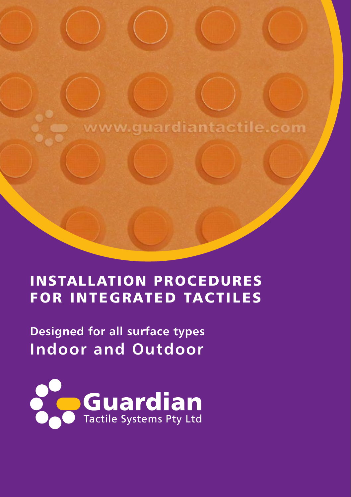www.guardiantactile.com

### Installation Procedures For Integrated Tactiles

**Designed for all surface types Indoor and Outdoor**

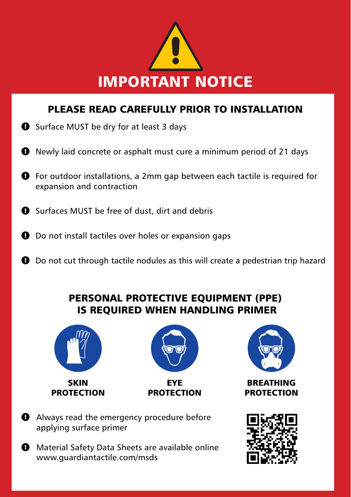

### Please read carefully prior to installation

- $\bullet$  Surface MUST be dry for at least 3 days
- Newly laid concrete or asphalt must cure a minimum period of 21 days
- For outdoor installations, a 2mm gap between each tactile is required for expansion and contraction
- $\bullet$  Surfaces MUST be free of dust, dirt and debris
- $\Theta$  Do not install tactiles over holes or expansion gaps
- $\bullet$  Do not cut through tactile nodules as this will create a pedestrian trip hazard

### PERSONAL PROTECTIVE EQUIPMENT (PPE) IS REQUIRED WHEN HANDLING PRIMER





eye **PROTECTION** 



**BREATHING PROTECTION** 

**Always read the emergency procedure before** applying surface primer

 $\bullet$  Material Safety Data Sheets are available online www.guardiantactile.com/msds

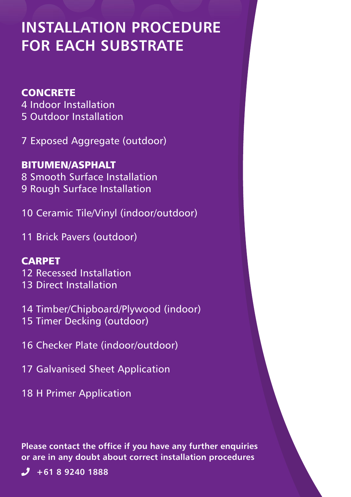# **Installation Procedure FOR EACH SUBSTRATE**

#### **CONCRETE**

4 Indoor Installation 5 Outdoor Installation

7 Exposed Aggregate (outdoor)

BITUMEN/ASPHALT 8 Smooth Surface Installation 9 Rough Surface Installation

10 Ceramic Tile/Vinyl (indoor/outdoor)

11 Brick Pavers (outdoor)

#### CARPET

12 Recessed Installation

- 13 Direct Installation
- 14 Timber/Chipboard/Plywood (indoor)
- 15 Timer Decking (outdoor)
- 16 Checker Plate (indoor/outdoor)
- 17 Galvanised Sheet Application
- 18 H Primer Application

**Please contact the office if you have any further enquiries or are in any doubt about correct installation procedures**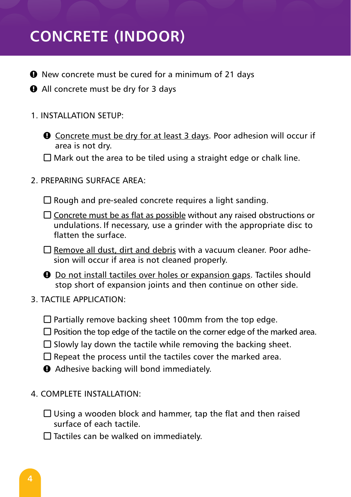# **CONCRETE (INDOOR)**

- $\Theta$  New concrete must be cured for a minimum of 21 days
- **Q** All concrete must be dry for 3 days
- 1. Installation Setup:
	- **Q** Concrete must be dry for at least 3 days. Poor adhesion will occur if area is not dry.
	- $\Box$  Mark out the area to be tiled using a straight edge or chalk line.
- 2. PREPARING SURFACE AREA:

 $\square$  Rough and pre-sealed concrete requires a light sanding.

- $\square$  Concrete must be as flat as possible without any raised obstructions or undulations. If necessary, use a grinder with the appropriate disc to flatten the surface.
- $\square$  Remove all dust, dirt and debris with a vacuum cleaner. Poor adhesion will occur if area is not cleaned properly.
- $\Theta$  Do not install tactiles over holes or expansion gaps. Tactiles should stop short of expansion joints and then continue on other side.
- 3. TACTILE Application:
	- $\Box$  Partially remove backing sheet 100mm from the top edge.
	- $\square$  Position the top edge of the tactile on the corner edge of the marked area.
	- $\square$  Slowly lay down the tactile while removing the backing sheet.
	- $\square$  Repeat the process until the tactiles cover the marked area.
	- $\theta$  Adhesive backing will bond immediately.
- 4. COMPLETE Installation:
	- $\square$  Using a wooden block and hammer, tap the flat and then raised surface of each tactile.
	- $\square$  Tactiles can be walked on immediately.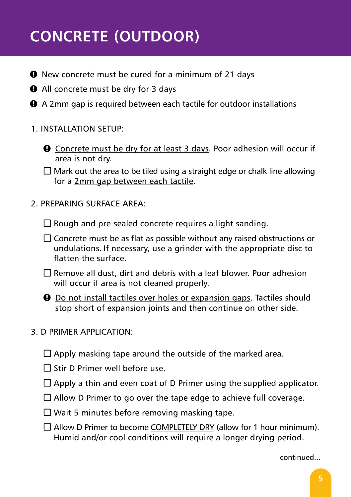# **CONCRETE (OUTDOOR)**

- $\Theta$  New concrete must be cured for a minimum of 21 days
- **Q** All concrete must be dry for 3 days
- $\Theta$  A 2mm gap is required between each tactile for outdoor installations
- 1. Installation Setup:
	- **Q** Concrete must be dry for at least 3 days. Poor adhesion will occur if area is not dry.

 $\Box$  Mark out the area to be tiled using a straight edge or chalk line allowing for a 2mm gap between each tactile.

2. PREPARING SURFACE AREA:

 $\Box$  Rough and pre-sealed concrete requires a light sanding.

- $\square$  Concrete must be as flat as possible without any raised obstructions or undulations. If necessary, use a grinder with the appropriate disc to flatten the surface.
- $\Box$  Remove all dust, dirt and debris with a leaf blower. Poor adhesion will occur if area is not cleaned properly.
- $\Theta$  Do not install tactiles over holes or expansion gaps. Tactiles should stop short of expansion joints and then continue on other side.

#### 3. D PRIMER APPLICATION:

- $\square$  Apply masking tape around the outside of the marked area.
- $\Box$  Stir D Primer well before use.
- $\Box$  Apply a thin and even coat of D Primer using the supplied applicator.
- $\Box$  Allow D Primer to go over the tape edge to achieve full coverage.
- $\square$  Wait 5 minutes before removing masking tape.
- $\square$  Allow D Primer to become COMPLETELY DRY (allow for 1 hour minimum). Humid and/or cool conditions will require a longer drying period.

continued...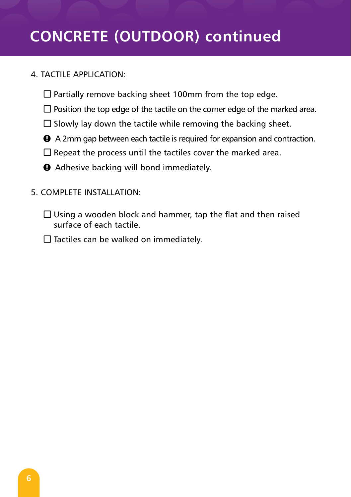# **CONCRETE (OUTDOOR) continued**

#### 4. TACTILE Application:

- $\square$  Partially remove backing sheet 100mm from the top edge.
- $\square$  Position the top edge of the tactile on the corner edge of the marked area.
- $\square$  Slowly lay down the tactile while removing the backing sheet.
- n A 2mm gap between each tactile is required for expansion and contraction.
- $\square$  Repeat the process until the tactiles cover the marked area.
- $\theta$  Adhesive backing will bond immediately.
- 5. COMPLETE Installation:
	- $\square$  Using a wooden block and hammer, tap the flat and then raised surface of each tactile.
	- $\square$  Tactiles can be walked on immediately.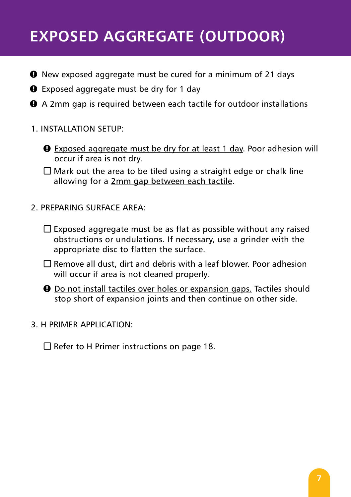# **EXPOSED AGGREGATE (OUTDOOR)**

- $\Theta$  New exposed aggregate must be cured for a minimum of 21 days
- **Q** Exposed aggregate must be dry for 1 day
- **●** A 2mm gap is required between each tactile for outdoor installations
- 1. Installation Setup:
	- $\bullet$  Exposed aggregate must be dry for at least 1 day. Poor adhesion will occur if area is not dry.

 $\Box$  Mark out the area to be tiled using a straight edge or chalk line allowing for a 2mm gap between each tactile.

- 2. PREPARING SURFACE AREA:
	- $\square$  Exposed aggregate must be as flat as possible without any raised obstructions or undulations. If necessary, use a grinder with the appropriate disc to flatten the surface.
	- $\Box$  Remove all dust, dirt and debris with a leaf blower. Poor adhesion will occur if area is not cleaned properly.
	- $\bullet$  Do not install tactiles over holes or expansion gaps. Tactiles should stop short of expansion joints and then continue on other side.

#### 3. H PRIMER APPLICATION:

 $\Box$  Refer to H Primer instructions on page 18.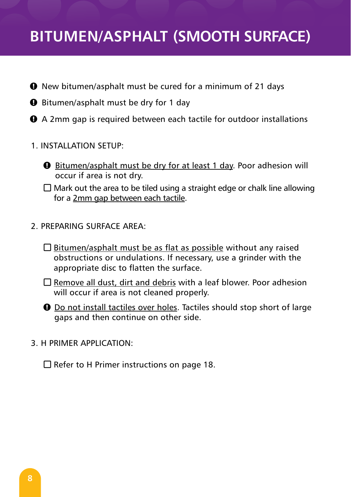### **BITUMEN/ASPHALT (SMOOTH SURFACE)**

- **O** New bitumen/asphalt must be cured for a minimum of 21 days
- $\Theta$  Bitumen/asphalt must be dry for 1 day
- **●** A 2mm gap is required between each tactile for outdoor installations
- 1. Installation Setup:
	- $\Theta$  Bitumen/asphalt must be dry for at least 1 day. Poor adhesion will occur if area is not dry.
	- $\square$  Mark out the area to be tiled using a straight edge or chalk line allowing for a 2mm gap between each tactile.
- 2. PREPARING SURFACE AREA:
	- $\square$  Bitumen/asphalt must be as flat as possible without any raised obstructions or undulations. If necessary, use a grinder with the appropriate disc to flatten the surface.
	- $\Box$  Remove all dust, dirt and debris with a leaf blower. Poor adhesion will occur if area is not cleaned properly.
	- $\Theta$  Do not install tactiles over holes. Tactiles should stop short of large gaps and then continue on other side.
- 3. H PRIMER APPLICATION:

 $\square$  Refer to H Primer instructions on page 18.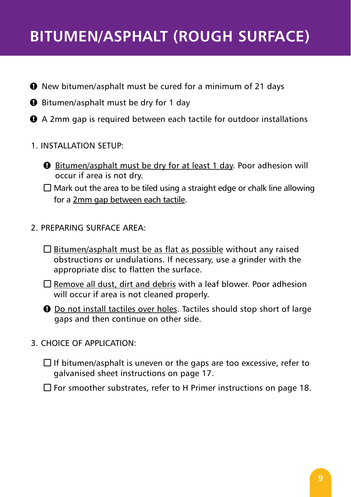### **BITUMEN/ASPHALT (ROUGH SURFACE)**

- **O** New bitumen/asphalt must be cured for a minimum of 21 days
- $\Theta$  Bitumen/asphalt must be dry for 1 day
- **Q** A 2mm gap is required between each tactile for outdoor installations
- 1. Installation Setup:
	- $\Theta$  Bitumen/asphalt must be dry for at least 1 day. Poor adhesion will occur if area is not dry.
	- $\square$  Mark out the area to be tiled using a straight edge or chalk line allowing for a 2mm gap between each tactile.
- 2. PREPARING SURFACE AREA:
	- $\square$  Bitumen/asphalt must be as flat as possible without any raised obstructions or undulations. If necessary, use a grinder with the appropriate disc to flatten the surface.
	- $\Box$  Remove all dust, dirt and debris with a leaf blower. Poor adhesion will occur if area is not cleaned properly.
	- $\bullet$  Do not install tactiles over holes. Tactiles should stop short of large gaps and then continue on other side.
- 3. CHOICE OF APPLICATION:
	- $\Box$  If bitumen/asphalt is uneven or the gaps are too excessive, refer to galvanised sheet instructions on page 17.
	- $\Box$  For smoother substrates, refer to H Primer instructions on page 18.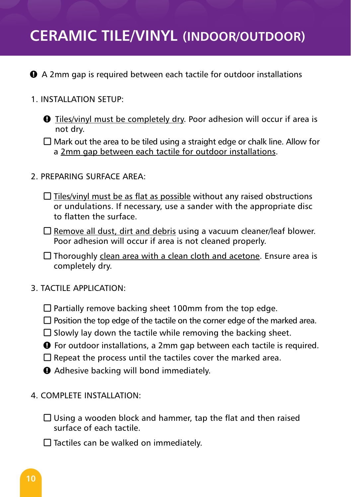### **CERAMIC TILE/VINYL (INDOOR/OUTDOOR)**

**Q** A 2mm gap is required between each tactile for outdoor installations

- 1. Installation Setup:
	- $\bullet$  Tiles/vinyl must be completely dry. Poor adhesion will occur if area is not dry.
	- $\Box$  Mark out the area to be tiled using a straight edge or chalk line. Allow for a 2mm gap between each tactile for outdoor installations.
- 2. PREPARING SURFACE AREA:
	- $\Box$  Tiles/vinyl must be as flat as possible without any raised obstructions or undulations. If necessary, use a sander with the appropriate disc to flatten the surface.
	- $\Box$  Remove all dust, dirt and debris using a vacuum cleaner/leaf blower. Poor adhesion will occur if area is not cleaned properly.

 $\Box$  Thoroughly clean area with a clean cloth and acetone. Ensure area is completely dry.

- 3. TACTILE Application:
	- $\square$  Partially remove backing sheet 100mm from the top edge.
	- $\square$  Position the top edge of the tactile on the corner edge of the marked area.
	- $\square$  Slowly lay down the tactile while removing the backing sheet.
	- **O** For outdoor installations, a 2mm gap between each tactile is required.
	- $\square$  Repeat the process until the tactiles cover the marked area.
	- $\Theta$  Adhesive backing will bond immediately.
- 4. COMPLETE Installation:
	- $\square$  Using a wooden block and hammer, tap the flat and then raised surface of each tactile.
	- $\square$  Tactiles can be walked on immediately.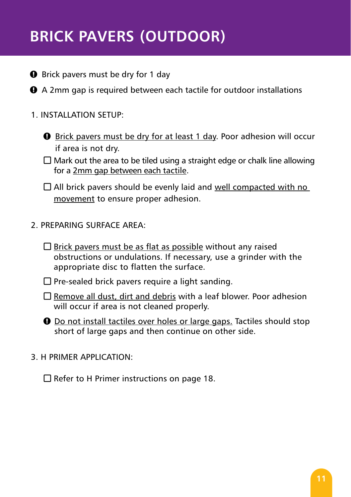# **BRICK PAVERS (OUTDOOR)**

- **Q** Brick pavers must be dry for 1 day
- **O** A 2mm gap is required between each tactile for outdoor installations

#### 1. Installation Setup:

- $\Theta$  Brick pavers must be dry for at least 1 day. Poor adhesion will occur if area is not dry.
- $\square$  Mark out the area to be tiled using a straight edge or chalk line allowing for a 2mm gap between each tactile.

 $\Box$  All brick pavers should be evenly laid and well compacted with no movement to ensure proper adhesion.

- 2. PREPARING SURFACE AREA:
	- $\square$  Brick pavers must be as flat as possible without any raised obstructions or undulations. If necessary, use a grinder with the appropriate disc to flatten the surface.
	- $\square$  Pre-sealed brick pavers require a light sanding.
	- $\Box$  Remove all dust, dirt and debris with a leaf blower. Poor adhesion will occur if area is not cleaned properly.
	- $\Theta$  Do not install tactiles over holes or large gaps. Tactiles should stop short of large gaps and then continue on other side.
- 3. H PRIMER APPLICATION:

 $\Box$  Refer to H Primer instructions on page 18.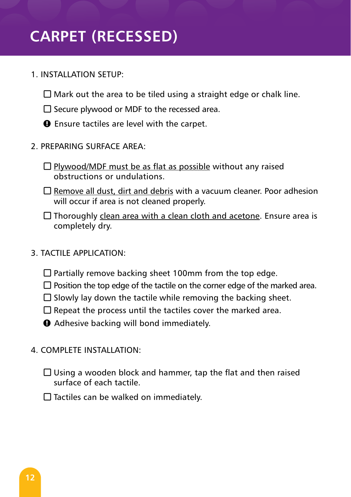# **CARPET (RECESSED)**

- 1. Installation Setup:
	- $\square$  Mark out the area to be tiled using a straight edge or chalk line.
	- $\square$  Secure plywood or MDF to the recessed area.
	- $\bullet$  Ensure tactiles are level with the carpet.
- 2. PREPARING SURFACE AREA:
	- $\square$  Plywood/MDF must be as flat as possible without any raised obstructions or undulations.
	- $\Box$  Remove all dust, dirt and debris with a vacuum cleaner. Poor adhesion will occur if area is not cleaned properly.
	- $\Box$  Thoroughly clean area with a clean cloth and acetone. Ensure area is completely dry.
- 3. TACTILE Application:
	- $\Box$  Partially remove backing sheet 100mm from the top edge.
	- $\square$  Position the top edge of the tactile on the corner edge of the marked area.
	- $\square$  Slowly lay down the tactile while removing the backing sheet.
	- $\Box$  Repeat the process until the tactiles cover the marked area.
	- $\Theta$  Adhesive backing will bond immediately.
- 4. COMPLETE Installation:
	- $\square$  Using a wooden block and hammer, tap the flat and then raised surface of each tactile.
	- $\Box$  Tactiles can be walked on immediately.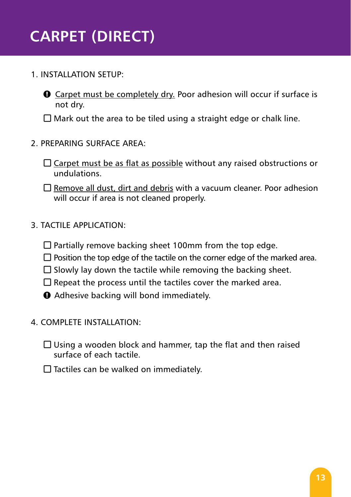# **CARPET (DIRECT)**

- 1. Installation Setup:
	- $\bullet$  Carpet must be completely dry. Poor adhesion will occur if surface is not dry.

 $\square$  Mark out the area to be tiled using a straight edge or chalk line.

- 2. PREPARING SURFACE AREA:
	- $\Box$  Carpet must be as flat as possible without any raised obstructions or undulations.
	- $\Box$  Remove all dust, dirt and debris with a vacuum cleaner. Poor adhesion will occur if area is not cleaned properly.
- 3. TACTILE Application:
	- $\square$  Partially remove backing sheet 100mm from the top edge.
	- $\Box$  Position the top edge of the tactile on the corner edge of the marked area.
	- $\square$  Slowly lay down the tactile while removing the backing sheet.
	- $\square$  Repeat the process until the tactiles cover the marked area.
	- $\theta$  Adhesive backing will bond immediately.
- 4. COMPLETE Installation:
	- $\Box$  Using a wooden block and hammer, tap the flat and then raised surface of each tactile.
	- $\square$  Tactiles can be walked on immediately.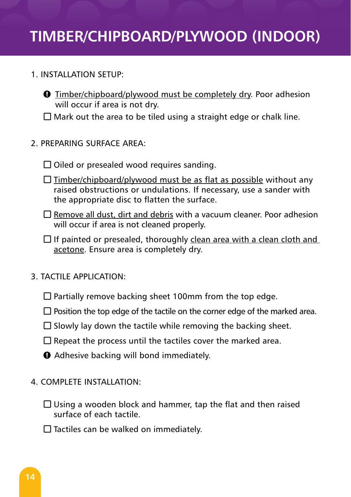### **TIMBER/CHIPBOARD/PLYWOOD (INDOOR)**

#### 1. Installation Setup:

 $\Theta$  Timber/chipboard/plywood must be completely dry. Poor adhesion will occur if area is not dry.

 $\Box$  Mark out the area to be tiled using a straight edge or chalk line.

- 2. PREPARING SURFACE AREA:
	- $\square$  Oiled or presealed wood requires sanding.
	- $\Box$  Timber/chipboard/plywood must be as flat as possible without any raised obstructions or undulations. If necessary, use a sander with the appropriate disc to flatten the surface.
	- $\Box$  Remove all dust, dirt and debris with a vacuum cleaner. Poor adhesion will occur if area is not cleaned properly.
	- $\square$  If painted or presealed, thoroughly clean area with a clean cloth and acetone. Ensure area is completely dry.
- 3. TACTILE Application:
	- $\Box$  Partially remove backing sheet 100mm from the top edge.
	- $\square$  Position the top edge of the tactile on the corner edge of the marked area.
	- $\square$  Slowly lay down the tactile while removing the backing sheet.
	- $\square$  Repeat the process until the tactiles cover the marked area.
	- $\Theta$  Adhesive backing will bond immediately.
- 4. COMPLETE Installation:
	- $\square$  Using a wooden block and hammer, tap the flat and then raised surface of each tactile.
	- $\Box$  Tactiles can be walked on immediately.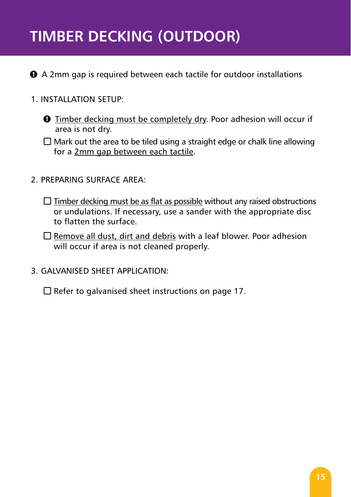# **TIMBER DECKING (OUTDOOR)**

**●** A 2mm gap is required between each tactile for outdoor installations

- 1. Installation Setup:
	- $\bullet$  Timber decking must be completely dry. Poor adhesion will occur if area is not dry.
	- $\square$  Mark out the area to be tiled using a straight edge or chalk line allowing for a 2mm gap between each tactile.
- 2. PREPARING SURFACE AREA:
	- $\Box$  Timber decking must be as flat as possible without any raised obstructions or undulations. If necessary, use a sander with the appropriate disc to flatten the surface.
	- $\Box$  Remove all dust, dirt and debris with a leaf blower. Poor adhesion will occur if area is not cleaned properly.
- 3. GALVANISED SHEET APPLICATION:

 $\square$  Refer to galvanised sheet instructions on page 17.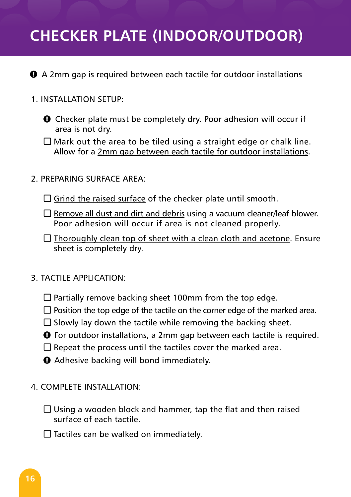### **CHECKER PLATE (INDOOR/OUTDOOR)**

- **Q** A 2mm gap is required between each tactile for outdoor installations
- 1. Installation Setup:
	- $\bullet$  Checker plate must be completely dry. Poor adhesion will occur if area is not dry.
	- $\Box$  Mark out the area to be tiled using a straight edge or chalk line. Allow for a 2mm gap between each tactile for outdoor installations.
- 2. PREPARING SURFACE AREA:
	- $\square$  Grind the raised surface of the checker plate until smooth.
	- $\square$  Remove all dust and dirt and debris using a vacuum cleaner/leaf blower. Poor adhesion will occur if area is not cleaned properly.
	- $\Box$  Thoroughly clean top of sheet with a clean cloth and acetone. Ensure sheet is completely dry.
- 3. TACTILE Application:
	- $\square$  Partially remove backing sheet 100mm from the top edge.
	- $\Box$  Position the top edge of the tactile on the corner edge of the marked area.
	- $\square$  Slowly lay down the tactile while removing the backing sheet.
	- $\Theta$  For outdoor installations, a 2mm gap between each tactile is required.
	- $\square$  Repeat the process until the tactiles cover the marked area.
	- $\Theta$  Adhesive backing will bond immediately.
- 4. COMPLETE Installation:
	- $\square$  Using a wooden block and hammer, tap the flat and then raised surface of each tactile.
	- $\square$  Tactiles can be walked on immediately.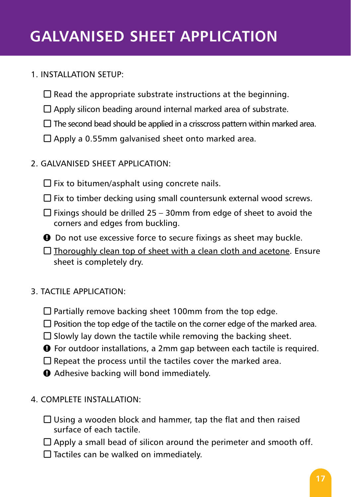# **Galvanised Sheet Application**

#### 1. Installation Setup:

- $\square$  Read the appropriate substrate instructions at the beginning.
- $\Box$  Apply silicon beading around internal marked area of substrate.
- $\square$  The second bead should be applied in a crisscross pattern within marked area.
- $\square$  Apply a 0.55mm galvanised sheet onto marked area.
- 2. GALVANISED sheet APPLICATION:
	- $\square$  Fix to bitumen/asphalt using concrete nails.
	- $\square$  Fix to timber decking using small countersunk external wood screws.
	- $\Box$  Fixings should be drilled 25 30mm from edge of sheet to avoid the corners and edges from buckling.
	- $\Theta$  Do not use excessive force to secure fixings as sheet may buckle.
	- $\Box$  Thoroughly clean top of sheet with a clean cloth and acetone. Ensure sheet is completely dry.
- 3. TACTILE Application:
	- $\square$  Partially remove backing sheet 100mm from the top edge.
	- $\square$  Position the top edge of the tactile on the corner edge of the marked area.
	- $\square$  Slowly lay down the tactile while removing the backing sheet.
	- $\Theta$  For outdoor installations, a 2mm gap between each tactile is required.
	- $\Box$  Repeat the process until the tactiles cover the marked area.
	- $\Theta$  Adhesive backing will bond immediately.
- 4. COMPLETE Installation:
	- $\square$  Using a wooden block and hammer, tap the flat and then raised surface of each tactile.
	- $\Box$  Apply a small bead of silicon around the perimeter and smooth off.
	- $\Box$  Tactiles can be walked on immediately.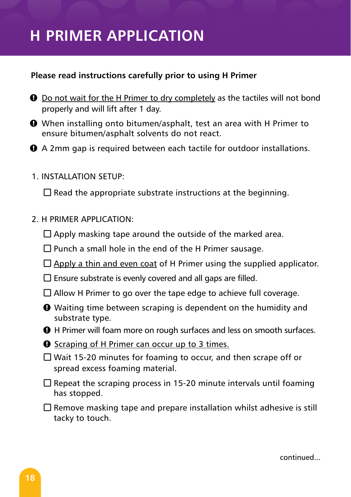### **H Primer Application**

#### **Please read instructions carefully prior to using H Primer**

- $\bullet$  Do not wait for the H Primer to dry completely as the tactiles will not bond properly and will lift after 1 day.
- $\bullet$  When installing onto bitumen/asphalt, test an area with H Primer to ensure bitumen/asphalt solvents do not react.
- n A 2mm gap is required between each tactile for outdoor installations.
- 1. Installation Setup:

 $\square$  Read the appropriate substrate instructions at the beginning.

- 2. H PRIMER APPLICATION:
	- $\square$  Apply masking tape around the outside of the marked area.
	- $\Box$  Punch a small hole in the end of the H Primer sausage.
	- $\Box$  Apply a thin and even coat of H Primer using the supplied applicator.
	- $\square$  Ensure substrate is evenly covered and all gaps are filled.
	- $\Box$  Allow H Primer to go over the tape edge to achieve full coverage.
	- $\bullet$  Waiting time between scraping is dependent on the humidity and substrate type.

**Q** H Primer will foam more on rough surfaces and less on smooth surfaces.

- $\Theta$  Scraping of H Primer can occur up to 3 times.
- $\Box$  Wait 15-20 minutes for foaming to occur, and then scrape off or spread excess foaming material.
- $\square$  Repeat the scraping process in 15-20 minute intervals until foaming has stopped.
- $\Box$  Remove masking tape and prepare installation whilst adhesive is still tacky to touch.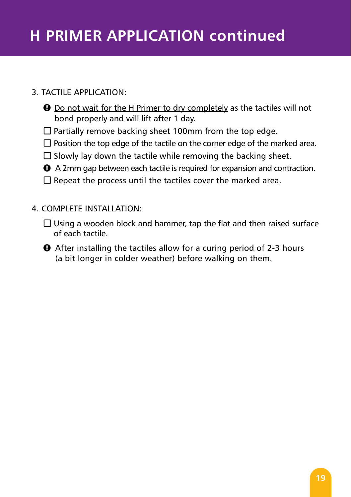#### 3. TACTILE APPLICATION:

- $\bullet$  Do not wait for the H Primer to dry completely as the tactiles will not bond properly and will lift after 1 day.
- $\Box$  Partially remove backing sheet 100mm from the top edge.
- $\square$  Position the top edge of the tactile on the corner edge of the marked area.
- $\square$  Slowly lay down the tactile while removing the backing sheet.
- $\bullet$  A 2mm gap between each tactile is required for expansion and contraction.
- $\square$  Repeat the process until the tactiles cover the marked area.
- 4. COMPLETE Installation:
	- $\square$  Using a wooden block and hammer, tap the flat and then raised surface of each tactile.
	- $\bullet$  After installing the tactiles allow for a curing period of 2-3 hours (a bit longer in colder weather) before walking on them.